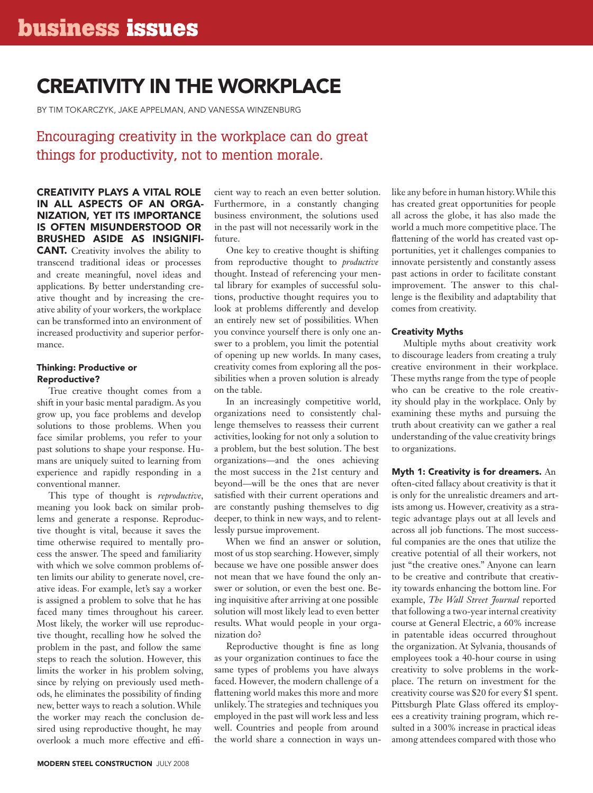# creativity in the workplace

By Tim Tokarczyk, Jake Appelman, and Vanessa Winzenburg

# Encouraging creativity in the workplace can do great things for productivity, not to mention morale.

## Creativity plays a vital role in all aspects of an organization, yet its importance is often misunderstood or brushed aside as insignifi-

**CANT.** Creativity involves the ability to transcend traditional ideas or processes and create meaningful, novel ideas and applications. By better understanding creative thought and by increasing the creative ability of your workers, the workplace can be transformed into an environment of increased productivity and superior performance.

#### Thinking: Productive or Reproductive?

True creative thought comes from a shift in your basic mental paradigm. As you grow up, you face problems and develop solutions to those problems. When you face similar problems, you refer to your past solutions to shape your response. Humans are uniquely suited to learning from experience and rapidly responding in a conventional manner.

This type of thought is *reproductive*, meaning you look back on similar problems and generate a response. Reproductive thought is vital, because it saves the time otherwise required to mentally process the answer. The speed and familiarity with which we solve common problems often limits our ability to generate novel, creative ideas. For example, let's say a worker is assigned a problem to solve that he has faced many times throughout his career. Most likely, the worker will use reproductive thought, recalling how he solved the problem in the past, and follow the same steps to reach the solution. However, this limits the worker in his problem solving, since by relying on previously used methods, he eliminates the possibility of finding new, better ways to reach a solution. While the worker may reach the conclusion desired using reproductive thought, he may overlook a much more effective and efficient way to reach an even better solution. Furthermore, in a constantly changing business environment, the solutions used in the past will not necessarily work in the future.

One key to creative thought is shifting from reproductive thought to *productive*  thought. Instead of referencing your mental library for examples of successful solutions, productive thought requires you to look at problems differently and develop an entirely new set of possibilities. When you convince yourself there is only one answer to a problem, you limit the potential of opening up new worlds. In many cases, creativity comes from exploring all the possibilities when a proven solution is already on the table.

In an increasingly competitive world, organizations need to consistently challenge themselves to reassess their current activities, looking for not only a solution to a problem, but the best solution. The best organizations—and the ones achieving the most success in the 21st century and beyond—will be the ones that are never satisfied with their current operations and are constantly pushing themselves to dig deeper, to think in new ways, and to relentlessly pursue improvement.

When we find an answer or solution, most of us stop searching. However, simply because we have one possible answer does not mean that we have found the only answer or solution, or even the best one. Being inquisitive after arriving at one possible solution will most likely lead to even better results. What would people in your organization do?

Reproductive thought is fine as long as your organization continues to face the same types of problems you have always faced. However, the modern challenge of a flattening world makes this more and more unlikely. The strategies and techniques you employed in the past will work less and less well. Countries and people from around the world share a connection in ways unlike any before in human history. While this has created great opportunities for people all across the globe, it has also made the world a much more competitive place. The flattening of the world has created vast opportunities, yet it challenges companies to innovate persistently and constantly assess past actions in order to facilitate constant improvement. The answer to this challenge is the flexibility and adaptability that comes from creativity.

# Creativity Myths

Multiple myths about creativity work to discourage leaders from creating a truly creative environment in their workplace. These myths range from the type of people who can be creative to the role creativity should play in the workplace. Only by examining these myths and pursuing the truth about creativity can we gather a real understanding of the value creativity brings to organizations.

Myth 1: Creativity is for dreamers. An often-cited fallacy about creativity is that it is only for the unrealistic dreamers and artists among us. However, creativity as a strategic advantage plays out at all levels and across all job functions. The most successful companies are the ones that utilize the creative potential of all their workers, not just "the creative ones." Anyone can learn to be creative and contribute that creativity towards enhancing the bottom line. For example, *The Wall Street Journal* reported that following a two-year internal creativity course at General Electric, a 60% increase in patentable ideas occurred throughout the organization. At Sylvania, thousands of employees took a 40-hour course in using creativity to solve problems in the workplace. The return on investment for the creativity course was \$20 for every \$1 spent. Pittsburgh Plate Glass offered its employees a creativity training program, which resulted in a 300% increase in practical ideas among attendees compared with those who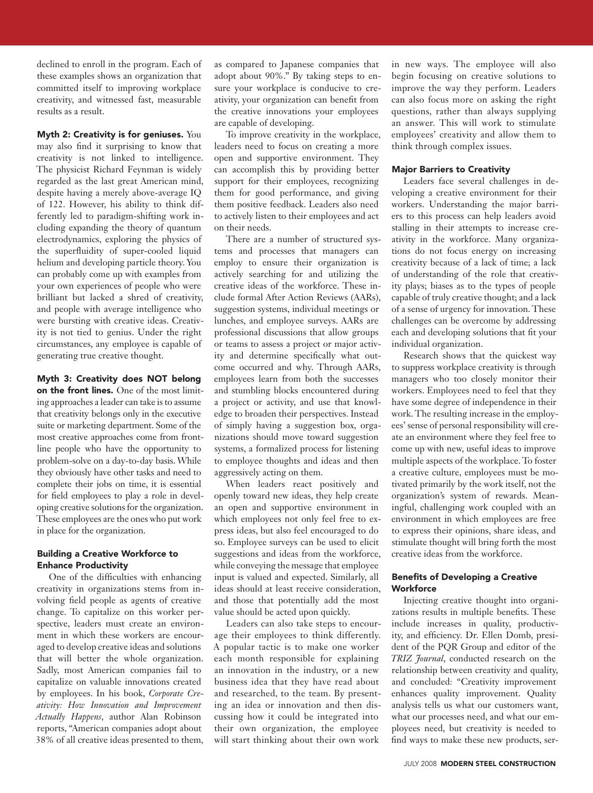declined to enroll in the program. Each of these examples shows an organization that committed itself to improving workplace creativity, and witnessed fast, measurable results as a result.

Myth 2: Creativity is for geniuses. You may also find it surprising to know that creativity is not linked to intelligence. The physicist Richard Feynman is widely regarded as the last great American mind, despite having a merely above-average IQ of 122. However, his ability to think differently led to paradigm-shifting work including expanding the theory of quantum electrodynamics, exploring the physics of the superfluidity of super-cooled liquid helium and developing particle theory. You can probably come up with examples from your own experiences of people who were brilliant but lacked a shred of creativity, and people with average intelligence who were bursting with creative ideas. Creativity is not tied to genius. Under the right circumstances, any employee is capable of generating true creative thought.

#### Myth 3: Creativity does NOT belong

on the front lines. One of the most limiting approaches a leader can take is to assume that creativity belongs only in the executive suite or marketing department. Some of the most creative approaches come from frontline people who have the opportunity to problem-solve on a day-to-day basis. While they obviously have other tasks and need to complete their jobs on time, it is essential for field employees to play a role in developing creative solutions for the organization. These employees are the ones who put work in place for the organization.

## Building a Creative Workforce to Enhance Productivity

One of the difficulties with enhancing creativity in organizations stems from involving field people as agents of creative change. To capitalize on this worker perspective, leaders must create an environment in which these workers are encouraged to develop creative ideas and solutions that will better the whole organization. Sadly, most American companies fail to capitalize on valuable innovations created by employees. In his book, *Corporate Creativity: How Innovation and Improvement Actually Happens*, author Alan Robinson reports, "American companies adopt about 38% of all creative ideas presented to them,

as compared to Japanese companies that adopt about 90%." By taking steps to ensure your workplace is conducive to creativity, your organization can benefit from the creative innovations your employees are capable of developing.

To improve creativity in the workplace, leaders need to focus on creating a more open and supportive environment. They can accomplish this by providing better support for their employees, recognizing them for good performance, and giving them positive feedback. Leaders also need to actively listen to their employees and act on their needs.

There are a number of structured systems and processes that managers can employ to ensure their organization is actively searching for and utilizing the creative ideas of the workforce. These include formal After Action Reviews (AARs), suggestion systems, individual meetings or lunches, and employee surveys. AARs are professional discussions that allow groups or teams to assess a project or major activity and determine specifically what outcome occurred and why. Through AARs, employees learn from both the successes and stumbling blocks encountered during a project or activity, and use that knowledge to broaden their perspectives. Instead of simply having a suggestion box, organizations should move toward suggestion systems, a formalized process for listening to employee thoughts and ideas and then aggressively acting on them.

When leaders react positively and openly toward new ideas, they help create an open and supportive environment in which employees not only feel free to express ideas, but also feel encouraged to do so. Employee surveys can be used to elicit suggestions and ideas from the workforce, while conveying the message that employee input is valued and expected. Similarly, all ideas should at least receive consideration, and those that potentially add the most value should be acted upon quickly.

Leaders can also take steps to encourage their employees to think differently. A popular tactic is to make one worker each month responsible for explaining an innovation in the industry, or a new business idea that they have read about and researched, to the team. By presenting an idea or innovation and then discussing how it could be integrated into their own organization, the employee will start thinking about their own work

in new ways. The employee will also begin focusing on creative solutions to improve the way they perform. Leaders can also focus more on asking the right questions, rather than always supplying an answer. This will work to stimulate employees' creativity and allow them to think through complex issues.

#### Major Barriers to Creativity

Leaders face several challenges in developing a creative environment for their workers. Understanding the major barriers to this process can help leaders avoid stalling in their attempts to increase creativity in the workforce. Many organizations do not focus energy on increasing creativity because of a lack of time; a lack of understanding of the role that creativity plays; biases as to the types of people capable of truly creative thought; and a lack of a sense of urgency for innovation. These challenges can be overcome by addressing each and developing solutions that fit your individual organization.

Research shows that the quickest way to suppress workplace creativity is through managers who too closely monitor their workers. Employees need to feel that they have some degree of independence in their work. The resulting increase in the employees' sense of personal responsibility will create an environment where they feel free to come up with new, useful ideas to improve multiple aspects of the workplace. To foster a creative culture, employees must be motivated primarily by the work itself, not the organization's system of rewards. Meaningful, challenging work coupled with an environment in which employees are free to express their opinions, share ideas, and stimulate thought will bring forth the most creative ideas from the workforce.

#### Benefits of Developing a Creative **Workforce**

Injecting creative thought into organizations results in multiple benefits. These include increases in quality, productivity, and efficiency. Dr. Ellen Domb, president of the PQR Group and editor of the *TRIZ Journal*, conducted research on the relationship between creativity and quality, and concluded: "Creativity improvement enhances quality improvement. Quality analysis tells us what our customers want, what our processes need, and what our employees need, but creativity is needed to find ways to make these new products, ser